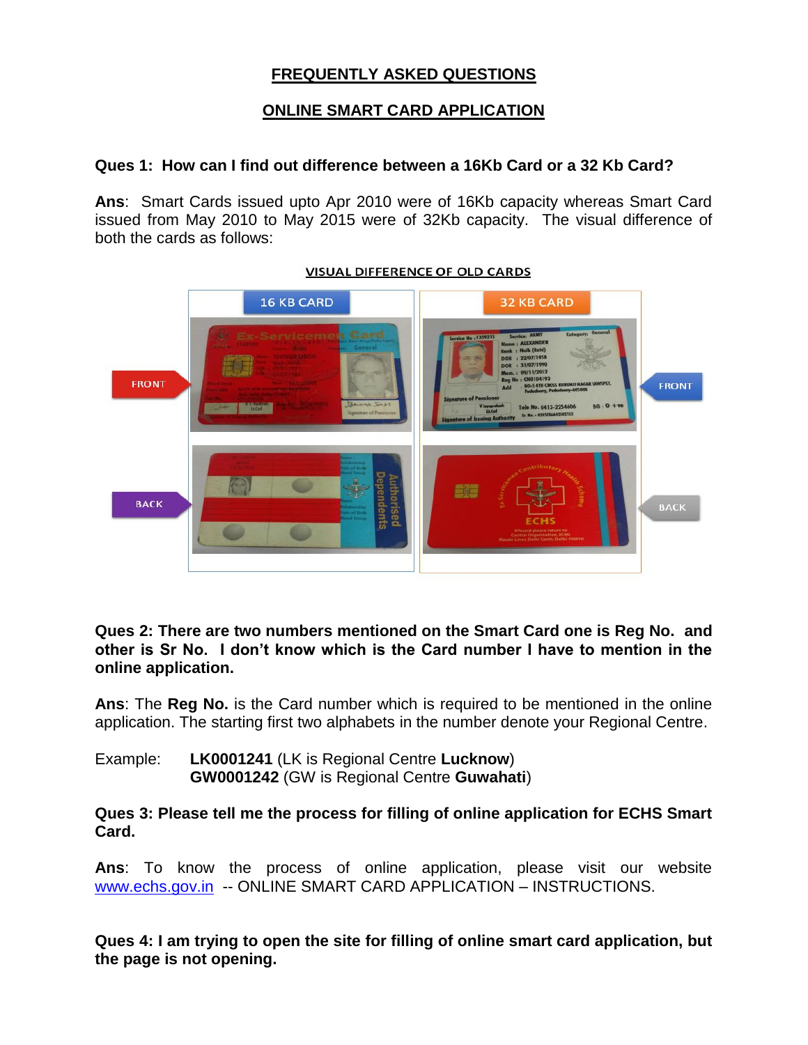# **FREQUENTLY ASKED QUESTIONS**

# **ONLINE SMART CARD APPLICATION**

#### **Ques 1: How can I find out difference between a 16Kb Card or a 32 Kb Card?**

**Ans**: Smart Cards issued upto Apr 2010 were of 16Kb capacity whereas Smart Card issued from May 2010 to May 2015 were of 32Kb capacity. The visual difference of both the cards as follows:



#### **VISUAL DIFFERENCE OF OLD CARDS**

**Ques 2: There are two numbers mentioned on the Smart Card one is Reg No. and other is Sr No. I don't know which is the Card number I have to mention in the online application.** 

**Ans**: The **Reg No.** is the Card number which is required to be mentioned in the online application. The starting first two alphabets in the number denote your Regional Centre.

Example: **LK0001241** (LK is Regional Centre **Lucknow**) **GW0001242** (GW is Regional Centre **Guwahati**)

**Ques 3: Please tell me the process for filling of online application for ECHS Smart Card.** 

**Ans**: To know the process of online application, please visit our website [www.echs.gov.in](http://www.echs.gov.in/) -- ONLINE SMART CARD APPLICATION – INSTRUCTIONS.

**Ques 4: I am trying to open the site for filling of online smart card application, but the page is not opening.**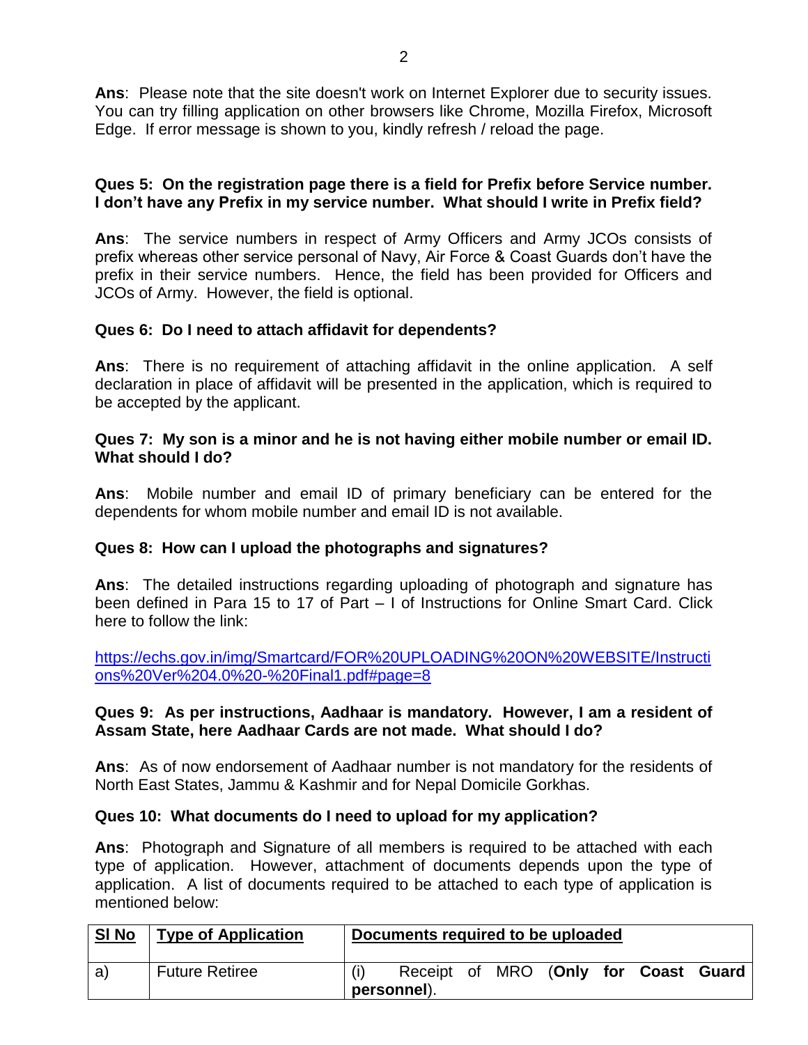**Ans**: Please note that the site doesn't work on Internet Explorer due to security issues. You can try filling application on other browsers like Chrome, Mozilla Firefox, Microsoft Edge. If error message is shown to you, kindly refresh / reload the page.

#### **Ques 5: On the registration page there is a field for Prefix before Service number. I don't have any Prefix in my service number. What should I write in Prefix field?**

**Ans**: The service numbers in respect of Army Officers and Army JCOs consists of prefix whereas other service personal of Navy, Air Force & Coast Guards don't have the prefix in their service numbers. Hence, the field has been provided for Officers and JCOs of Army. However, the field is optional.

# **Ques 6: Do I need to attach affidavit for dependents?**

**Ans**: There is no requirement of attaching affidavit in the online application. A self declaration in place of affidavit will be presented in the application, which is required to be accepted by the applicant.

### **Ques 7: My son is a minor and he is not having either mobile number or email ID. What should I do?**

**Ans**: Mobile number and email ID of primary beneficiary can be entered for the dependents for whom mobile number and email ID is not available.

# **Ques 8: How can I upload the photographs and signatures?**

**Ans**: The detailed instructions regarding uploading of photograph and signature has been defined in Para 15 to 17 of Part – I of Instructions for Online Smart Card. Click here to follow the link:

[https://echs.gov.in/img/Smartcard/FOR%20UPLOADING%20ON%20WEBSITE/Instructi](https://echs.gov.in/img/Smartcard/FOR%20UPLOADING%20ON%20WEBSITE/Instructions%20Ver%204.0%20-%20Final1.pdf#page=8) [ons%20Ver%204.0%20-%20Final1.pdf#page=8](https://echs.gov.in/img/Smartcard/FOR%20UPLOADING%20ON%20WEBSITE/Instructions%20Ver%204.0%20-%20Final1.pdf#page=8) 

### **Ques 9: As per instructions, Aadhaar is mandatory. However, I am a resident of Assam State, here Aadhaar Cards are not made. What should I do?**

**Ans**: As of now endorsement of Aadhaar number is not mandatory for the residents of North East States, Jammu & Kashmir and for Nepal Domicile Gorkhas.

#### **Ques 10: What documents do I need to upload for my application?**

**Ans**: Photograph and Signature of all members is required to be attached with each type of application. However, attachment of documents depends upon the type of application. A list of documents required to be attached to each type of application is mentioned below:

| <b>SI No</b> | <b>Type of Application</b> | Documents required to be uploaded |                                                     |  |  |  |  |  |  |
|--------------|----------------------------|-----------------------------------|-----------------------------------------------------|--|--|--|--|--|--|
| a)           | <b>Future Retiree</b>      |                                   | Receipt of MRO (Only for Coast Guard<br>personnel). |  |  |  |  |  |  |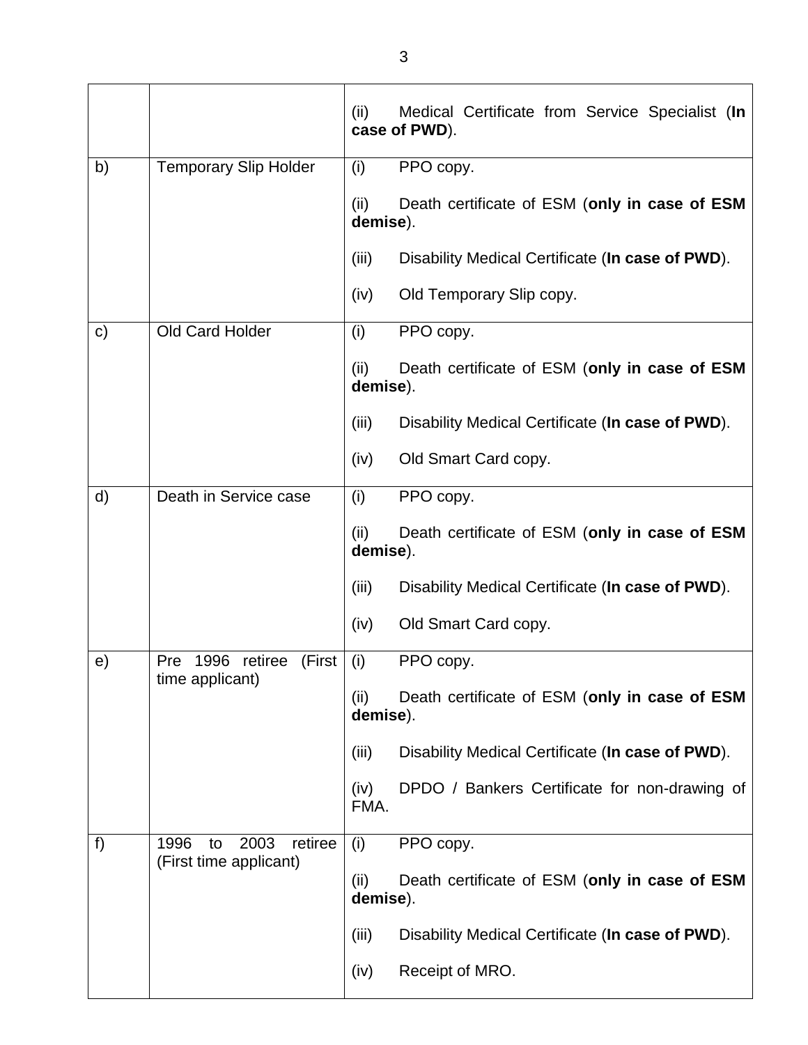|               |                                                         | Medical Certificate from Service Specialist (In<br>(ii)<br>case of PWD). |
|---------------|---------------------------------------------------------|--------------------------------------------------------------------------|
| b)            | <b>Temporary Slip Holder</b>                            | PPO copy.<br>(i)                                                         |
|               |                                                         | (ii)<br>Death certificate of ESM (only in case of ESM<br>demise).        |
|               |                                                         | (iii)<br>Disability Medical Certificate (In case of PWD).                |
|               |                                                         | Old Temporary Slip copy.<br>(iv)                                         |
| $\mathsf{c})$ | Old Card Holder                                         | PPO copy.<br>(i)                                                         |
|               |                                                         | (ii)<br>Death certificate of ESM (only in case of ESM<br>demise).        |
|               |                                                         | (iii)<br>Disability Medical Certificate (In case of PWD).                |
|               |                                                         | (iv)<br>Old Smart Card copy.                                             |
| d)            | Death in Service case                                   | (i)<br>PPO copy.                                                         |
|               |                                                         | (ii)<br>Death certificate of ESM (only in case of ESM<br>demise).        |
|               |                                                         | (iii)<br>Disability Medical Certificate (In case of PWD).                |
|               |                                                         | (iv)<br>Old Smart Card copy.                                             |
| e)            | 1996 retiree<br>(First<br><b>Pre</b><br>time applicant) | (i)<br>PPO copy.                                                         |
|               |                                                         | Death certificate of ESM (only in case of ESM<br>(ii)<br>demise).        |
|               |                                                         | (iii)<br>Disability Medical Certificate (In case of PWD).                |
|               |                                                         | DPDO / Bankers Certificate for non-drawing of<br>(iv)<br>FMA.            |
| f)            | 1996<br>2003<br>retiree<br>to<br>(First time applicant) | (i)<br>PPO copy.                                                         |
|               |                                                         | Death certificate of ESM (only in case of ESM<br>(ii)<br>demise).        |
|               |                                                         | (iii)<br>Disability Medical Certificate (In case of PWD).                |
|               |                                                         | Receipt of MRO.<br>(iv)                                                  |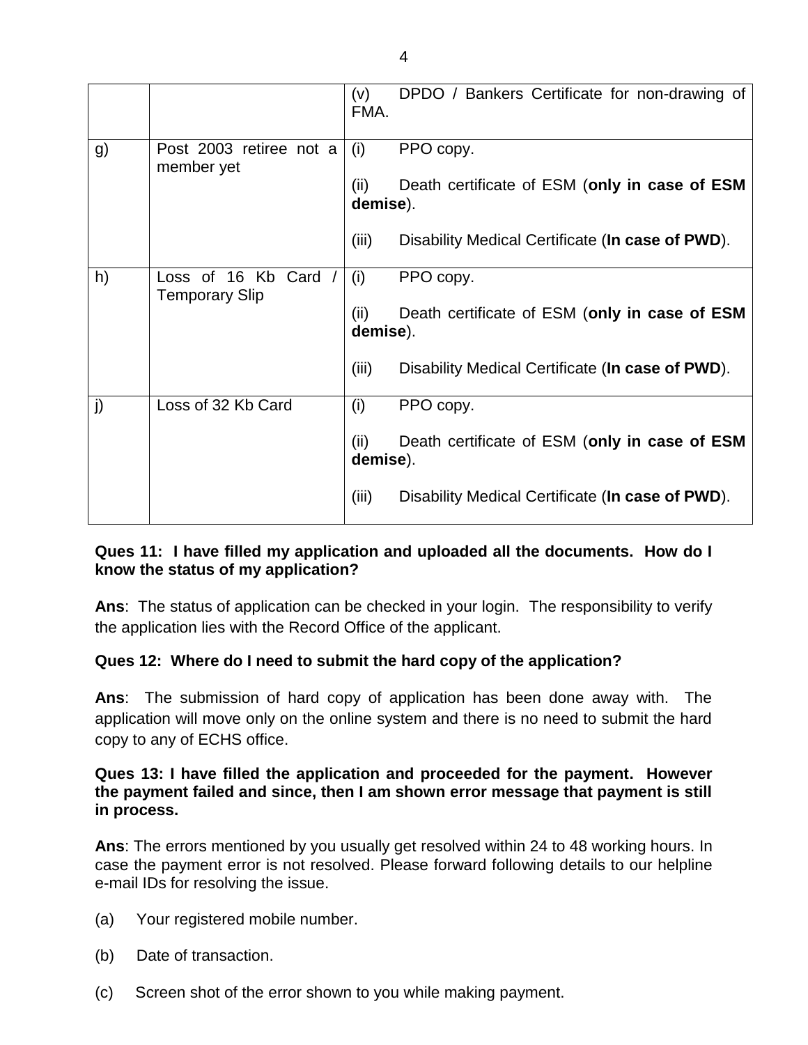|    |                                             | (v)<br>FMA.      | DPDO / Bankers Certificate for non-drawing of    |
|----|---------------------------------------------|------------------|--------------------------------------------------|
| g) | Post 2003 retiree not a<br>member yet       | (i)              | PPO copy.                                        |
|    |                                             | (ii)<br>demise). | Death certificate of ESM (only in case of ESM    |
|    |                                             | (iii)            | Disability Medical Certificate (In case of PWD). |
| h) | Loss of 16 Kb Card<br><b>Temporary Slip</b> | (i)              | PPO copy.                                        |
|    |                                             | (ii)<br>demise). | Death certificate of ESM (only in case of ESM    |
|    |                                             | (iii)            | Disability Medical Certificate (In case of PWD). |
| j) | Loss of 32 Kb Card                          | (i)              | PPO copy.                                        |
|    |                                             | (ii)<br>demise). | Death certificate of ESM (only in case of ESM    |
|    |                                             | (iii)            | Disability Medical Certificate (In case of PWD). |

#### **Ques 11: I have filled my application and uploaded all the documents. How do I know the status of my application?**

**Ans**: The status of application can be checked in your login. The responsibility to verify the application lies with the Record Office of the applicant.

# **Ques 12: Where do I need to submit the hard copy of the application?**

**Ans**: The submission of hard copy of application has been done away with. The application will move only on the online system and there is no need to submit the hard copy to any of ECHS office.

### **Ques 13: I have filled the application and proceeded for the payment. However the payment failed and since, then I am shown error message that payment is still in process.**

**Ans**: The errors mentioned by you usually get resolved within 24 to 48 working hours. In case the payment error is not resolved. Please forward following details to our helpline e-mail IDs for resolving the issue.

- (a) Your registered mobile number.
- (b) Date of transaction.
- (c) Screen shot of the error shown to you while making payment.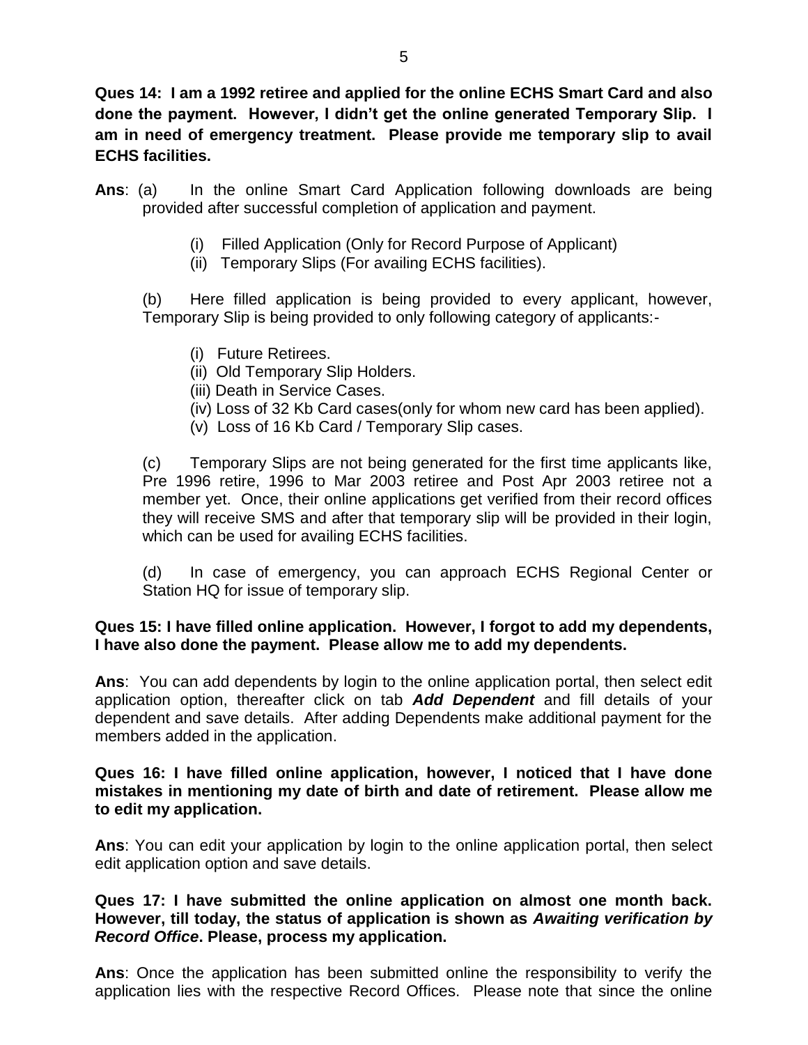**Ques 14: I am a 1992 retiree and applied for the online ECHS Smart Card and also done the payment. However, I didn't get the online generated Temporary Slip. I am in need of emergency treatment. Please provide me temporary slip to avail ECHS facilities.** 

- Ans: (a) In the online Smart Card Application following downloads are being provided after successful completion of application and payment.
	- (i) Filled Application (Only for Record Purpose of Applicant)
	- (ii) Temporary Slips (For availing ECHS facilities).

(b) Here filled application is being provided to every applicant, however, Temporary Slip is being provided to only following category of applicants:-

- (i) Future Retirees.
- (ii) Old Temporary Slip Holders.
- (iii) Death in Service Cases.
- (iv) Loss of 32 Kb Card cases(only for whom new card has been applied).
- (v) Loss of 16 Kb Card / Temporary Slip cases.

(c) Temporary Slips are not being generated for the first time applicants like, Pre 1996 retire, 1996 to Mar 2003 retiree and Post Apr 2003 retiree not a member yet. Once, their online applications get verified from their record offices they will receive SMS and after that temporary slip will be provided in their login, which can be used for availing ECHS facilities.

(d) In case of emergency, you can approach ECHS Regional Center or Station HQ for issue of temporary slip.

#### **Ques 15: I have filled online application. However, I forgot to add my dependents, I have also done the payment. Please allow me to add my dependents.**

**Ans**: You can add dependents by login to the online application portal, then select edit application option, thereafter click on tab *Add Dependent* and fill details of your dependent and save details. After adding Dependents make additional payment for the members added in the application.

#### **Ques 16: I have filled online application, however, I noticed that I have done mistakes in mentioning my date of birth and date of retirement. Please allow me to edit my application.**

**Ans**: You can edit your application by login to the online application portal, then select edit application option and save details.

#### **Ques 17: I have submitted the online application on almost one month back. However, till today, the status of application is shown as** *Awaiting verification by Record Office***. Please, process my application.**

**Ans**: Once the application has been submitted online the responsibility to verify the application lies with the respective Record Offices. Please note that since the online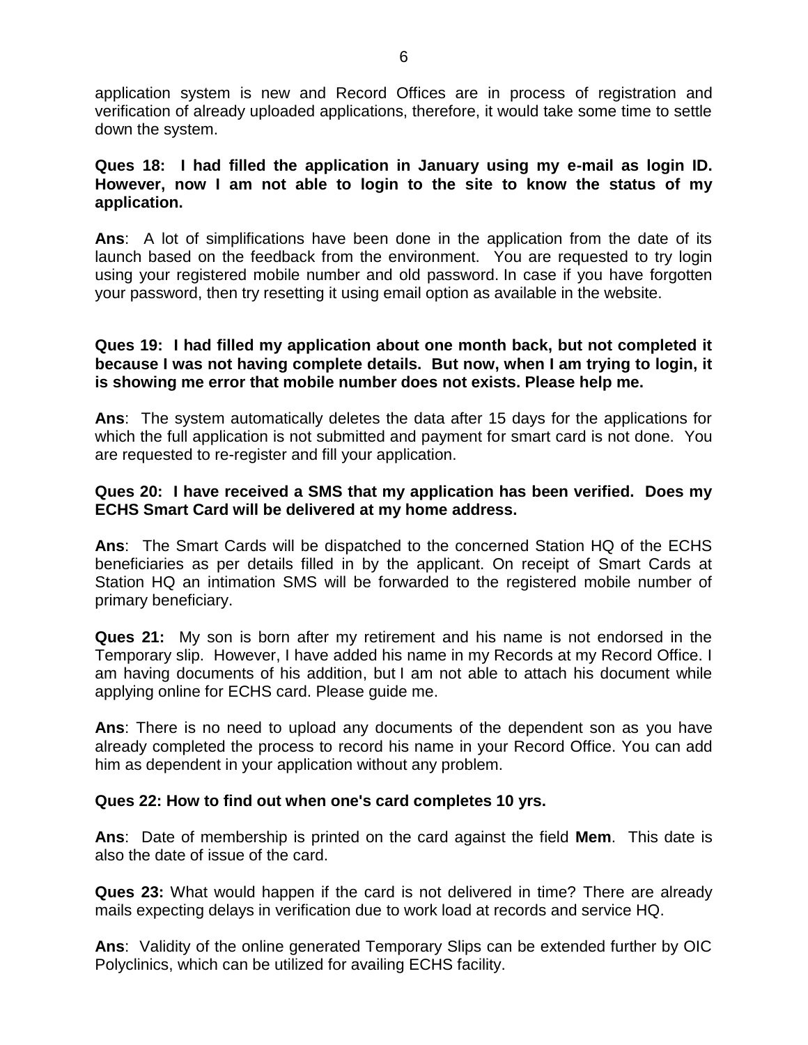application system is new and Record Offices are in process of registration and verification of already uploaded applications, therefore, it would take some time to settle down the system.

#### **Ques 18: I had filled the application in January using my e-mail as login ID. However, now I am not able to login to the site to know the status of my application.**

**Ans**: A lot of simplifications have been done in the application from the date of its launch based on the feedback from the environment. You are requested to try login using your registered mobile number and old password. In case if you have forgotten your password, then try resetting it using email option as available in the website.

#### **Ques 19: I had filled my application about one month back, but not completed it because I was not having complete details. But now, when I am trying to login, it is showing me error that mobile number does not exists. Please help me.**

**Ans**: The system automatically deletes the data after 15 days for the applications for which the full application is not submitted and payment for smart card is not done. You are requested to re-register and fill your application.

#### **Ques 20: I have received a SMS that my application has been verified. Does my ECHS Smart Card will be delivered at my home address.**

**Ans**: The Smart Cards will be dispatched to the concerned Station HQ of the ECHS beneficiaries as per details filled in by the applicant. On receipt of Smart Cards at Station HQ an intimation SMS will be forwarded to the registered mobile number of primary beneficiary.

**Ques 21:** My son is born after my retirement and his name is not endorsed in the Temporary slip. However, I have added his name in my Records at my Record Office. I am having documents of his addition, but I am not able to attach his document while applying online for ECHS card. Please guide me.

**Ans**: There is no need to upload any documents of the dependent son as you have already completed the process to record his name in your Record Office. You can add him as dependent in your application without any problem.

#### **Ques 22: How to find out when one's card completes 10 yrs.**

**Ans**: Date of membership is printed on the card against the field **Mem**. This date is also the date of issue of the card.

**Ques 23:** What would happen if the card is not delivered in time? There are already mails expecting delays in verification due to work load at records and service HQ.

**Ans**: Validity of the online generated Temporary Slips can be extended further by OIC Polyclinics, which can be utilized for availing ECHS facility.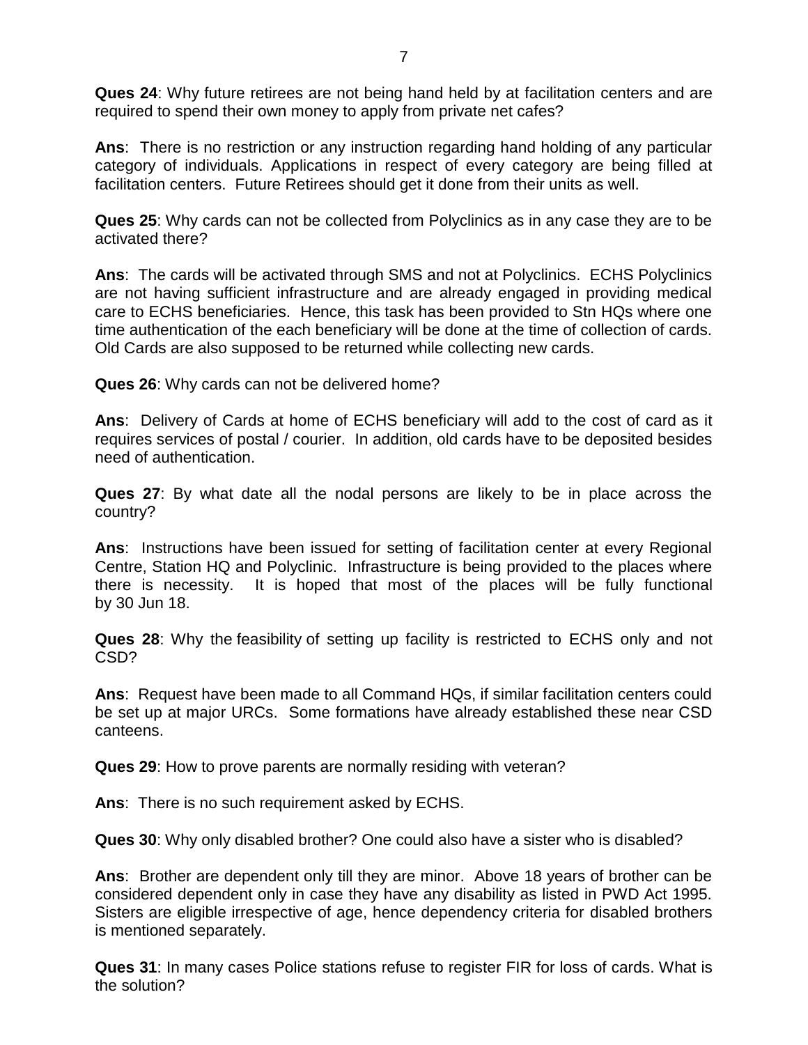**Ques 24**: Why future retirees are not being hand held by at facilitation centers and are required to spend their own money to apply from private net cafes?

**Ans**: There is no restriction or any instruction regarding hand holding of any particular category of individuals. Applications in respect of every category are being filled at facilitation centers. Future Retirees should get it done from their units as well.

**Ques 25**: Why cards can not be collected from Polyclinics as in any case they are to be activated there?

**Ans**: The cards will be activated through SMS and not at Polyclinics. ECHS Polyclinics are not having sufficient infrastructure and are already engaged in providing medical care to ECHS beneficiaries. Hence, this task has been provided to Stn HQs where one time authentication of the each beneficiary will be done at the time of collection of cards. Old Cards are also supposed to be returned while collecting new cards.

**Ques 26**: Why cards can not be delivered home?

**Ans**: Delivery of Cards at home of ECHS beneficiary will add to the cost of card as it requires services of postal / courier. In addition, old cards have to be deposited besides need of authentication.

**Ques 27**: By what date all the nodal persons are likely to be in place across the country?

**Ans**: Instructions have been issued for setting of facilitation center at every Regional Centre, Station HQ and Polyclinic. Infrastructure is being provided to the places where there is necessity. It is hoped that most of the places will be fully functional by 30 Jun 18.

**Ques 28**: Why the feasibility of setting up facility is restricted to ECHS only and not CSD?

**Ans**: Request have been made to all Command HQs, if similar facilitation centers could be set up at major URCs. Some formations have already established these near CSD canteens.

**Ques 29**: How to prove parents are normally residing with veteran?

**Ans**: There is no such requirement asked by ECHS.

**Ques 30**: Why only disabled brother? One could also have a sister who is disabled?

**Ans**: Brother are dependent only till they are minor. Above 18 years of brother can be considered dependent only in case they have any disability as listed in PWD Act 1995. Sisters are eligible irrespective of age, hence dependency criteria for disabled brothers is mentioned separately.

**Ques 31**: In many cases Police stations refuse to register FIR for loss of cards. What is the solution?